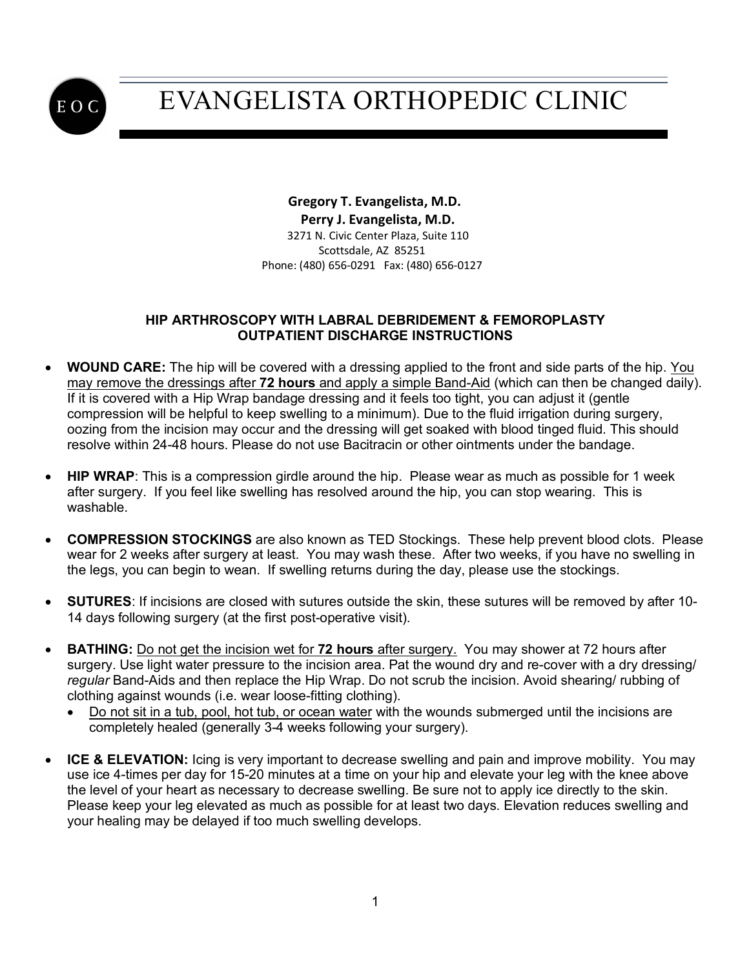

## EVANGELISTA ORTHOPEDIC CLINIC

 **Gregory T. Evangelista, M.D. Perry J. Evangelista, M.D.** 3271 N. Civic Center Plaza, Suite 110 Scottsdale, AZ 85251 Phone: (480) 656-0291 Fax: (480) 656-0127

#### **HIP ARTHROSCOPY WITH LABRAL DEBRIDEMENT & FEMOROPLASTY OUTPATIENT DISCHARGE INSTRUCTIONS**

- **WOUND CARE:** The hip will be covered with a dressing applied to the front and side parts of the hip. You may remove the dressings after **72 hours** and apply a simple Band-Aid (which can then be changed daily). If it is covered with a Hip Wrap bandage dressing and it feels too tight, you can adjust it (gentle compression will be helpful to keep swelling to a minimum). Due to the fluid irrigation during surgery, oozing from the incision may occur and the dressing will get soaked with blood tinged fluid. This should resolve within 24-48 hours. Please do not use Bacitracin or other ointments under the bandage.
- **HIP WRAP**: This is a compression girdle around the hip. Please wear as much as possible for 1 week after surgery. If you feel like swelling has resolved around the hip, you can stop wearing. This is washable.
- **COMPRESSION STOCKINGS** are also known as TED Stockings. These help prevent blood clots. Please wear for 2 weeks after surgery at least. You may wash these. After two weeks, if you have no swelling in the legs, you can begin to wean. If swelling returns during the day, please use the stockings.
- **SUTURES**: If incisions are closed with sutures outside the skin, these sutures will be removed by after 10- 14 days following surgery (at the first post-operative visit).
- **BATHING:** Do not get the incision wet for **72 hours** after surgery. You may shower at 72 hours after surgery. Use light water pressure to the incision area. Pat the wound dry and re-cover with a dry dressing/ *regular* Band-Aids and then replace the Hip Wrap. Do not scrub the incision. Avoid shearing/ rubbing of clothing against wounds (i.e. wear loose-fitting clothing).
	- Do not sit in a tub, pool, hot tub, or ocean water with the wounds submerged until the incisions are completely healed (generally 3-4 weeks following your surgery).
- **ICE & ELEVATION:** Icing is very important to decrease swelling and pain and improve mobility. You may use ice 4-times per day for 15-20 minutes at a time on your hip and elevate your leg with the knee above the level of your heart as necessary to decrease swelling. Be sure not to apply ice directly to the skin. Please keep your leg elevated as much as possible for at least two days. Elevation reduces swelling and your healing may be delayed if too much swelling develops.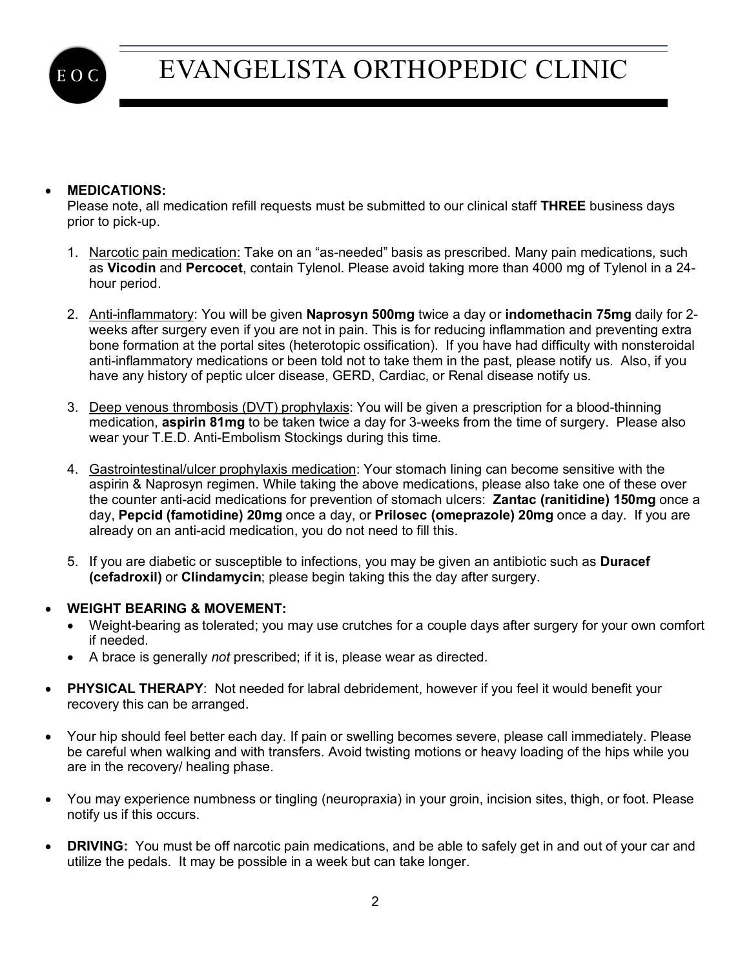

# EVANGELISTA ORTHOPEDIC CLINIC

### • **MEDICATIONS:**

Please note, all medication refill requests must be submitted to our clinical staff **THREE** business days prior to pick-up.

- 1. Narcotic pain medication: Take on an "as-needed" basis as prescribed. Many pain medications, such as **Vicodin** and **Percocet**, contain Tylenol. Please avoid taking more than 4000 mg of Tylenol in a 24 hour period.
- 2. Anti-inflammatory: You will be given **Naprosyn 500mg** twice a day or **indomethacin 75mg** daily for 2 weeks after surgery even if you are not in pain. This is for reducing inflammation and preventing extra bone formation at the portal sites (heterotopic ossification). If you have had difficulty with nonsteroidal anti-inflammatory medications or been told not to take them in the past, please notify us. Also, if you have any history of peptic ulcer disease, GERD, Cardiac, or Renal disease notify us.
- 3. Deep venous thrombosis (DVT) prophylaxis: You will be given a prescription for a blood-thinning medication, **aspirin 81mg** to be taken twice a day for 3-weeks from the time of surgery. Please also wear your T.E.D. Anti-Embolism Stockings during this time.
- 4. Gastrointestinal/ulcer prophylaxis medication: Your stomach lining can become sensitive with the aspirin & Naprosyn regimen. While taking the above medications, please also take one of these over the counter anti-acid medications for prevention of stomach ulcers: **Zantac (ranitidine) 150mg** once a day, **Pepcid (famotidine) 20mg** once a day, or **Prilosec (omeprazole) 20mg** once a day. If you are already on an anti-acid medication, you do not need to fill this.
- 5. If you are diabetic or susceptible to infections, you may be given an antibiotic such as **Duracef (cefadroxil)** or **Clindamycin**; please begin taking this the day after surgery.
- **WEIGHT BEARING & MOVEMENT:** 
	- Weight-bearing as tolerated; you may use crutches for a couple days after surgery for your own comfort if needed.
	- A brace is generally *not* prescribed; if it is, please wear as directed.
- **PHYSICAL THERAPY**: Not needed for labral debridement, however if you feel it would benefit your recovery this can be arranged.
- Your hip should feel better each day. If pain or swelling becomes severe, please call immediately. Please be careful when walking and with transfers. Avoid twisting motions or heavy loading of the hips while you are in the recovery/ healing phase.
- You may experience numbness or tingling (neuropraxia) in your groin, incision sites, thigh, or foot. Please notify us if this occurs.
- **DRIVING:** You must be off narcotic pain medications, and be able to safely get in and out of your car and utilize the pedals. It may be possible in a week but can take longer.